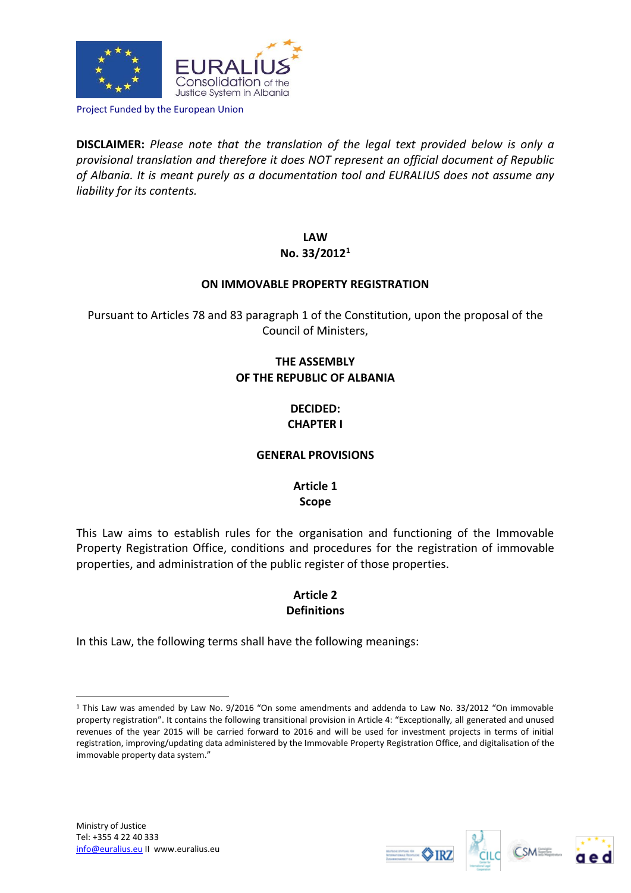

Project Funded by the European Union

**DISCLAIMER:** *Please note that the translation of the legal text provided below is only a provisional translation and therefore it does NOT represent an official document of Republic of Albania. It is meant purely as a documentation tool and EURALIUS does not assume any liability for its contents.*

> **LAW No. 33/2012<sup>1</sup>**

#### **ON IMMOVABLE PROPERTY REGISTRATION**

Pursuant to Articles 78 and 83 paragraph 1 of the Constitution, upon the proposal of the Council of Ministers,

# **THE ASSEMBLY OF THE REPUBLIC OF ALBANIA**

### **DECIDED: CHAPTER I**

#### **GENERAL PROVISIONS**

**Article 1 Scope**

This Law aims to establish rules for the organisation and functioning of the Immovable Property Registration Office, conditions and procedures for the registration of immovable properties, and administration of the public register of those properties.

### **Article 2 Definitions**

In this Law, the following terms shall have the following meanings:

1







<sup>1</sup> This Law was amended by Law No. 9/2016 "On some amendments and addenda to Law No. 33/2012 "On immovable property registration". It contains the following transitional provision in Article 4: "Exceptionally, all generated and unused revenues of the year 2015 will be carried forward to 2016 and will be used for investment projects in terms of initial registration, improving/updating data administered by the Immovable Property Registration Office, and digitalisation of the immovable property data system."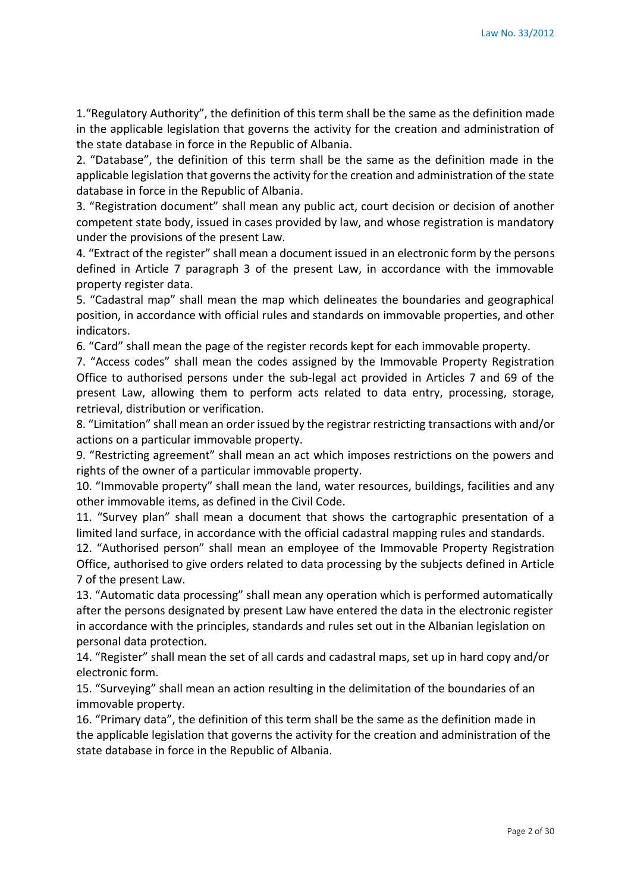1."Regulatory Authority", the definition of this term shall be the same as the definition made in the applicable legislation that governs the activity for the creation and administration of the state database in force in the Republic of Albania.

2. "Database", the definition of this term shall be the same as the definition made in the applicable legislation that governs the activity for the creation and administration of the state database in force in the Republic of Albania.

3. "Registration document" shall mean any public act, court decision or decision of another competent state body, issued in cases provided by law, and whose registration is mandatory under the provisions of the present Law.

4. "Extract of the register" shall mean a document issued in an electronic form by the persons defined in Article 7 paragraph 3 of the present Law, in accordance with the immovable property register data.

5. "Cadastral map" shall mean the map which delineates the boundaries and geographical position, in accordance with official rules and standards on immovable properties, and other indicators.

6. "Card" shall mean the page of the register records kept for each immovable property.

7. "Access codes" shall mean the codes assigned by the Immovable Property Registration Office to authorised persons under the sub-legal act provided in Articles 7 and 69 of the present Law, allowing them to perform acts related to data entry, processing, storage, retrieval, distribution or verification.

8. "Limitation" shall mean an order issued by the registrar restricting transactions with and/or actions on a particular immovable property.

9. "Restricting agreement" shall mean an act which imposes restrictions on the powers and rights of the owner of a particular immovable property.

10. "Immovable property" shall mean the land, water resources, buildings, facilities and any other immovable items, as defined in the Civil Code.

11. "Survey plan" shall mean a document that shows the cartographic presentation of a limited land surface, in accordance with the official cadastral mapping rules and standards.

12. "Authorised person" shall mean an employee of the Immovable Property Registration Office, authorised to give orders related to data processing by the subjects defined in Article 7 of the present Law.

13. "Automatic data processing" shall mean any operation which is performed automatically after the persons designated by present Law have entered the data in the electronic register in accordance with the principles, standards and rules set out in the Albanian legislation on personal data protection.

14. "Register" shall mean the set of all cards and cadastral maps, set up in hard copy and/or electronic form.

15. "Surveying" shall mean an action resulting in the delimitation of the boundaries of an immovable property.

16. "Primary data", the definition of this term shall be the same as the definition made in the applicable legislation that governs the activity for the creation and administration of the state database in force in the Republic of Albania.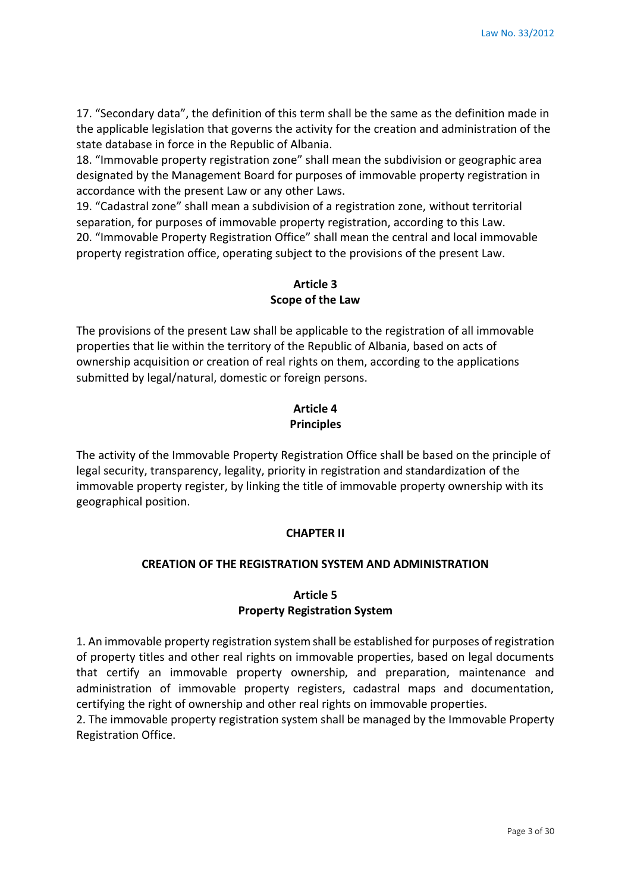17. "Secondary data", the definition of this term shall be the same as the definition made in the applicable legislation that governs the activity for the creation and administration of the state database in force in the Republic of Albania.

18. "Immovable property registration zone" shall mean the subdivision or geographic area designated by the Management Board for purposes of immovable property registration in accordance with the present Law or any other Laws.

19. "Cadastral zone" shall mean a subdivision of a registration zone, without territorial separation, for purposes of immovable property registration, according to this Law. 20. "Immovable Property Registration Office" shall mean the central and local immovable property registration office, operating subject to the provisions of the present Law.

## **Article 3 Scope of the Law**

The provisions of the present Law shall be applicable to the registration of all immovable properties that lie within the territory of the Republic of Albania, based on acts of ownership acquisition or creation of real rights on them, according to the applications submitted by legal/natural, domestic or foreign persons.

## **Article 4 Principles**

The activity of the Immovable Property Registration Office shall be based on the principle of legal security, transparency, legality, priority in registration and standardization of the immovable property register, by linking the title of immovable property ownership with its geographical position.

# **CHAPTER II**

# **CREATION OF THE REGISTRATION SYSTEM AND ADMINISTRATION**

# **Article 5 Property Registration System**

1. An immovable property registration system shall be established for purposes of registration of property titles and other real rights on immovable properties, based on legal documents that certify an immovable property ownership, and preparation, maintenance and administration of immovable property registers, cadastral maps and documentation, certifying the right of ownership and other real rights on immovable properties.

2. The immovable property registration system shall be managed by the Immovable Property Registration Office.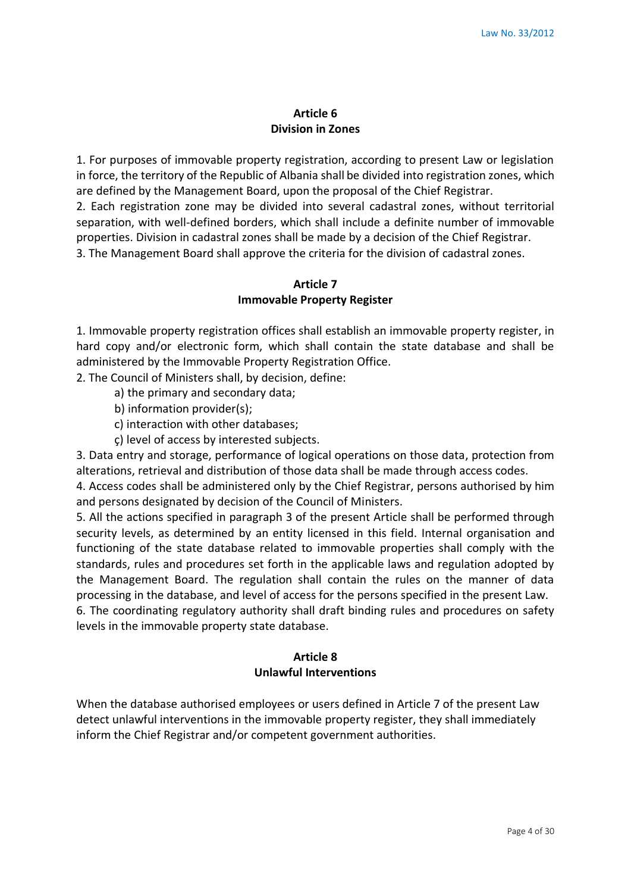### **Article 6 Division in Zones**

1. For purposes of immovable property registration, according to present Law or legislation in force, the territory of the Republic of Albania shall be divided into registration zones, which are defined by the Management Board, upon the proposal of the Chief Registrar.

2. Each registration zone may be divided into several cadastral zones, without territorial separation, with well-defined borders, which shall include a definite number of immovable properties. Division in cadastral zones shall be made by a decision of the Chief Registrar. 3. The Management Board shall approve the criteria for the division of cadastral zones.

### **Article 7 Immovable Property Register**

1. Immovable property registration offices shall establish an immovable property register, in hard copy and/or electronic form, which shall contain the state database and shall be administered by the Immovable Property Registration Office.

2. The Council of Ministers shall, by decision, define:

a) the primary and secondary data;

b) information provider(s);

c) interaction with other databases;

ç) level of access by interested subjects.

3. Data entry and storage, performance of logical operations on those data, protection from alterations, retrieval and distribution of those data shall be made through access codes.

4. Access codes shall be administered only by the Chief Registrar, persons authorised by him and persons designated by decision of the Council of Ministers.

5. All the actions specified in paragraph 3 of the present Article shall be performed through security levels, as determined by an entity licensed in this field. Internal organisation and functioning of the state database related to immovable properties shall comply with the standards, rules and procedures set forth in the applicable laws and regulation adopted by the Management Board. The regulation shall contain the rules on the manner of data processing in the database, and level of access for the persons specified in the present Law. 6. The coordinating regulatory authority shall draft binding rules and procedures on safety levels in the immovable property state database.

# **Article 8**

### **Unlawful Interventions**

When the database authorised employees or users defined in Article 7 of the present Law detect unlawful interventions in the immovable property register, they shall immediately inform the Chief Registrar and/or competent government authorities.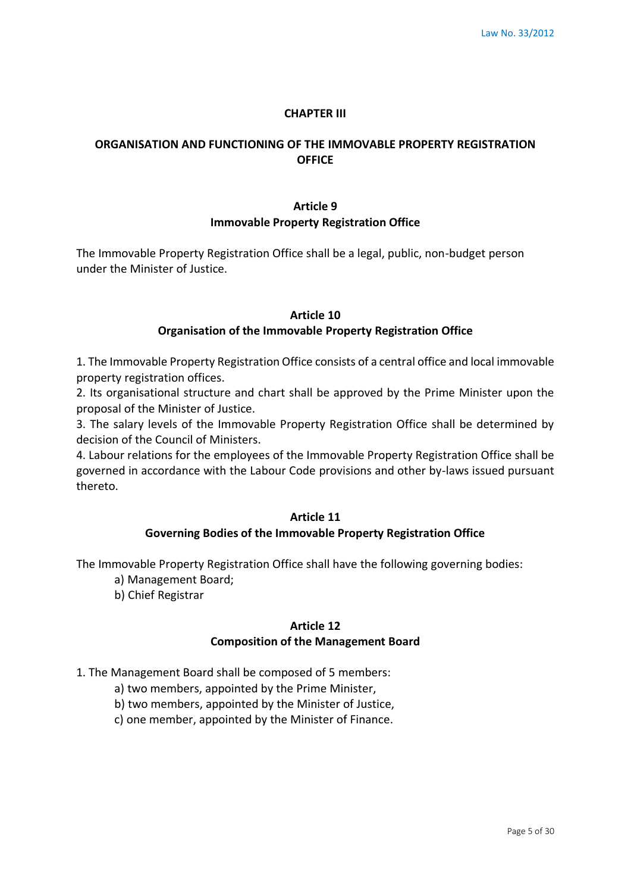#### **CHAPTER III**

### **ORGANISATION AND FUNCTIONING OF THE IMMOVABLE PROPERTY REGISTRATION OFFICE**

# **Article 9 Immovable Property Registration Office**

The Immovable Property Registration Office shall be a legal, public, non-budget person under the Minister of Justice.

#### **Article 10**

#### **Organisation of the Immovable Property Registration Office**

1. The Immovable Property Registration Office consists of a central office and local immovable property registration offices.

2. Its organisational structure and chart shall be approved by the Prime Minister upon the proposal of the Minister of Justice.

3. The salary levels of the Immovable Property Registration Office shall be determined by decision of the Council of Ministers.

4. Labour relations for the employees of the Immovable Property Registration Office shall be governed in accordance with the Labour Code provisions and other by-laws issued pursuant thereto.

#### **Article 11**

#### **Governing Bodies of the Immovable Property Registration Office**

The Immovable Property Registration Office shall have the following governing bodies:

- a) Management Board;
- b) Chief Registrar

# **Article 12**

#### **Composition of the Management Board**

1. The Management Board shall be composed of 5 members:

- a) two members, appointed by the Prime Minister,
- b) two members, appointed by the Minister of Justice,
- c) one member, appointed by the Minister of Finance.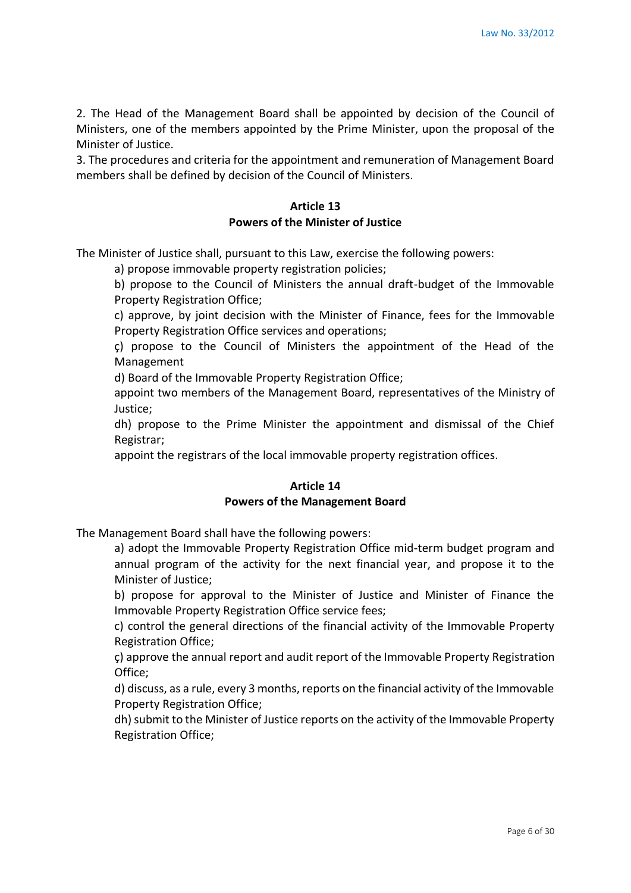2. The Head of the Management Board shall be appointed by decision of the Council of Ministers, one of the members appointed by the Prime Minister, upon the proposal of the Minister of Justice.

3. The procedures and criteria for the appointment and remuneration of Management Board members shall be defined by decision of the Council of Ministers.

# **Article 13 Powers of the Minister of Justice**

The Minister of Justice shall, pursuant to this Law, exercise the following powers:

a) propose immovable property registration policies;

b) propose to the Council of Ministers the annual draft-budget of the Immovable Property Registration Office;

c) approve, by joint decision with the Minister of Finance, fees for the Immovable Property Registration Office services and operations;

ç) propose to the Council of Ministers the appointment of the Head of the Management

d) Board of the Immovable Property Registration Office;

appoint two members of the Management Board, representatives of the Ministry of Justice;

dh) propose to the Prime Minister the appointment and dismissal of the Chief Registrar;

appoint the registrars of the local immovable property registration offices.

#### **Article 14 Powers of the Management Board**

The Management Board shall have the following powers:

a) adopt the Immovable Property Registration Office mid-term budget program and annual program of the activity for the next financial year, and propose it to the Minister of Justice;

b) propose for approval to the Minister of Justice and Minister of Finance the Immovable Property Registration Office service fees;

c) control the general directions of the financial activity of the Immovable Property Registration Office;

ç) approve the annual report and audit report of the Immovable Property Registration Office;

d) discuss, as a rule, every 3 months, reports on the financial activity of the Immovable Property Registration Office;

dh) submit to the Minister of Justice reports on the activity of the Immovable Property Registration Office;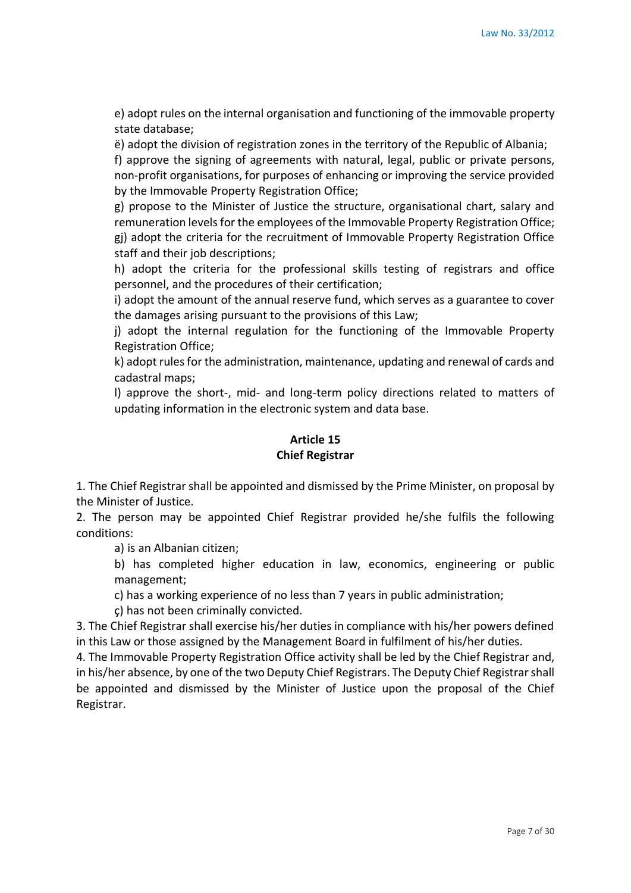e) adopt rules on the internal organisation and functioning of the immovable property state database;

ë) adopt the division of registration zones in the territory of the Republic of Albania;

f) approve the signing of agreements with natural, legal, public or private persons, non-profit organisations, for purposes of enhancing or improving the service provided by the Immovable Property Registration Office;

g) propose to the Minister of Justice the structure, organisational chart, salary and remuneration levels for the employees of the Immovable Property Registration Office; gj) adopt the criteria for the recruitment of Immovable Property Registration Office staff and their job descriptions;

h) adopt the criteria for the professional skills testing of registrars and office personnel, and the procedures of their certification;

i) adopt the amount of the annual reserve fund, which serves as a guarantee to cover the damages arising pursuant to the provisions of this Law;

j) adopt the internal regulation for the functioning of the Immovable Property Registration Office;

k) adopt rules for the administration, maintenance, updating and renewal of cards and cadastral maps;

l) approve the short-, mid- and long-term policy directions related to matters of updating information in the electronic system and data base.

#### **Article 15 Chief Registrar**

1. The Chief Registrar shall be appointed and dismissed by the Prime Minister, on proposal by the Minister of Justice.

2. The person may be appointed Chief Registrar provided he/she fulfils the following conditions:

a) is an Albanian citizen;

b) has completed higher education in law, economics, engineering or public management;

c) has a working experience of no less than 7 years in public administration;

ç) has not been criminally convicted.

3. The Chief Registrar shall exercise his/her duties in compliance with his/her powers defined in this Law or those assigned by the Management Board in fulfilment of his/her duties.

4. The Immovable Property Registration Office activity shall be led by the Chief Registrar and, in his/her absence, by one of the two Deputy Chief Registrars. The Deputy Chief Registrar shall be appointed and dismissed by the Minister of Justice upon the proposal of the Chief Registrar.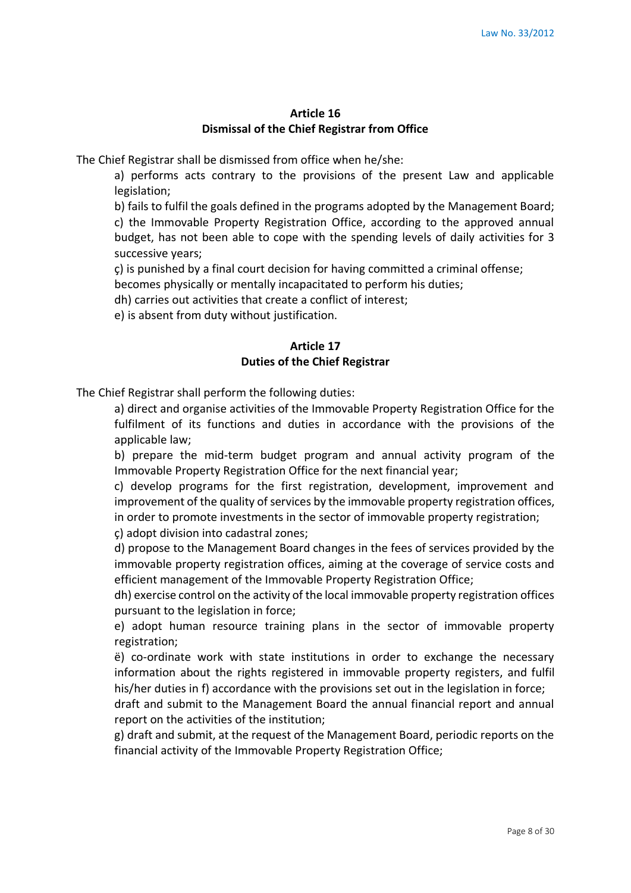#### **Article 16 Dismissal of the Chief Registrar from Office**

The Chief Registrar shall be dismissed from office when he/she:

a) performs acts contrary to the provisions of the present Law and applicable legislation;

b) fails to fulfil the goals defined in the programs adopted by the Management Board; c) the Immovable Property Registration Office, according to the approved annual budget, has not been able to cope with the spending levels of daily activities for 3 successive years;

ç) is punished by a final court decision for having committed a criminal offense;

becomes physically or mentally incapacitated to perform his duties;

dh) carries out activities that create a conflict of interest;

e) is absent from duty without justification.

#### **Article 17 Duties of the Chief Registrar**

The Chief Registrar shall perform the following duties:

a) direct and organise activities of the Immovable Property Registration Office for the fulfilment of its functions and duties in accordance with the provisions of the applicable law;

b) prepare the mid-term budget program and annual activity program of the Immovable Property Registration Office for the next financial year;

c) develop programs for the first registration, development, improvement and improvement of the quality of services by the immovable property registration offices, in order to promote investments in the sector of immovable property registration;

ç) adopt division into cadastral zones;

d) propose to the Management Board changes in the fees of services provided by the immovable property registration offices, aiming at the coverage of service costs and efficient management of the Immovable Property Registration Office;

dh) exercise control on the activity of the local immovable property registration offices pursuant to the legislation in force;

e) adopt human resource training plans in the sector of immovable property registration;

ë) co-ordinate work with state institutions in order to exchange the necessary information about the rights registered in immovable property registers, and fulfil his/her duties in f) accordance with the provisions set out in the legislation in force;

draft and submit to the Management Board the annual financial report and annual report on the activities of the institution;

g) draft and submit, at the request of the Management Board, periodic reports on the financial activity of the Immovable Property Registration Office;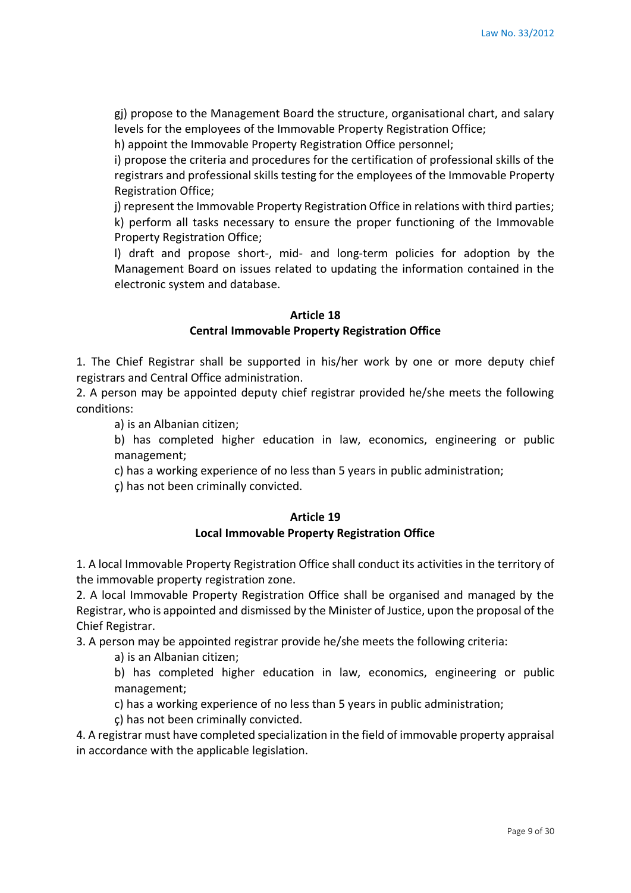gj) propose to the Management Board the structure, organisational chart, and salary levels for the employees of the Immovable Property Registration Office;

h) appoint the Immovable Property Registration Office personnel;

i) propose the criteria and procedures for the certification of professional skills of the registrars and professional skills testing for the employees of the Immovable Property Registration Office;

j) represent the Immovable Property Registration Office in relations with third parties; k) perform all tasks necessary to ensure the proper functioning of the Immovable Property Registration Office;

l) draft and propose short-, mid- and long-term policies for adoption by the Management Board on issues related to updating the information contained in the electronic system and database.

#### **Article 18 Central Immovable Property Registration Office**

1. The Chief Registrar shall be supported in his/her work by one or more deputy chief registrars and Central Office administration.

2. A person may be appointed deputy chief registrar provided he/she meets the following conditions:

a) is an Albanian citizen;

b) has completed higher education in law, economics, engineering or public management;

c) has a working experience of no less than 5 years in public administration;

ç) has not been criminally convicted.

#### **Article 19 Local Immovable Property Registration Office**

1. A local Immovable Property Registration Office shall conduct its activities in the territory of the immovable property registration zone.

2. A local Immovable Property Registration Office shall be organised and managed by the Registrar, who is appointed and dismissed by the Minister of Justice, upon the proposal of the Chief Registrar.

3. A person may be appointed registrar provide he/she meets the following criteria:

a) is an Albanian citizen;

b) has completed higher education in law, economics, engineering or public management;

c) has a working experience of no less than 5 years in public administration;

ç) has not been criminally convicted.

4. A registrar must have completed specialization in the field of immovable property appraisal in accordance with the applicable legislation.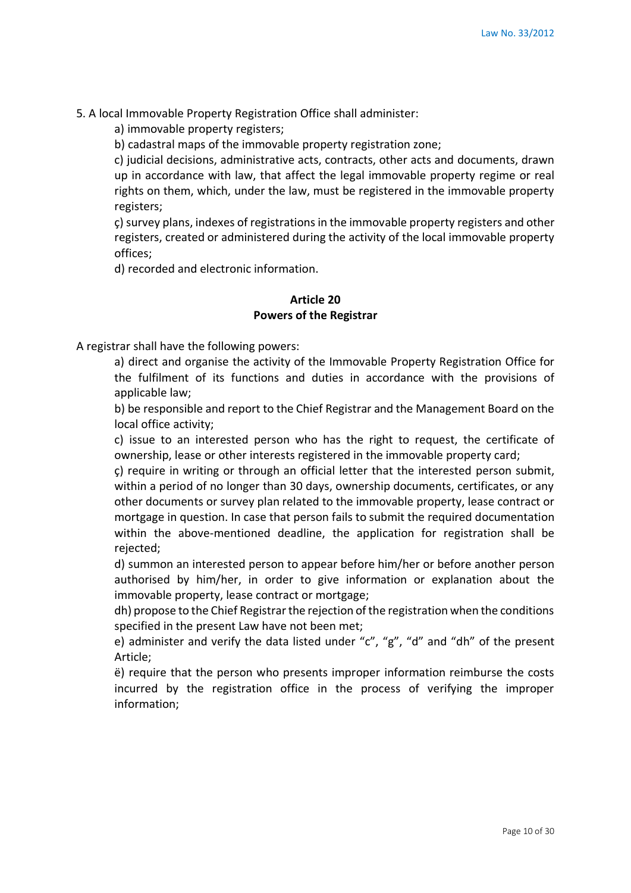5. A local Immovable Property Registration Office shall administer:

a) immovable property registers;

b) cadastral maps of the immovable property registration zone;

c) judicial decisions, administrative acts, contracts, other acts and documents, drawn up in accordance with law, that affect the legal immovable property regime or real rights on them, which, under the law, must be registered in the immovable property registers;

ç) survey plans, indexes of registrations in the immovable property registers and other registers, created or administered during the activity of the local immovable property offices;

d) recorded and electronic information.

### **Article 20 Powers of the Registrar**

A registrar shall have the following powers:

a) direct and organise the activity of the Immovable Property Registration Office for the fulfilment of its functions and duties in accordance with the provisions of applicable law:

b) be responsible and report to the Chief Registrar and the Management Board on the local office activity;

c) issue to an interested person who has the right to request, the certificate of ownership, lease or other interests registered in the immovable property card;

ç) require in writing or through an official letter that the interested person submit, within a period of no longer than 30 days, ownership documents, certificates, or any other documents or survey plan related to the immovable property, lease contract or mortgage in question. In case that person fails to submit the required documentation within the above-mentioned deadline, the application for registration shall be rejected;

d) summon an interested person to appear before him/her or before another person authorised by him/her, in order to give information or explanation about the immovable property, lease contract or mortgage;

dh) propose to the Chief Registrar the rejection of the registration when the conditions specified in the present Law have not been met;

e) administer and verify the data listed under "c", "g", "d" and "dh" of the present Article;

ë) require that the person who presents improper information reimburse the costs incurred by the registration office in the process of verifying the improper information;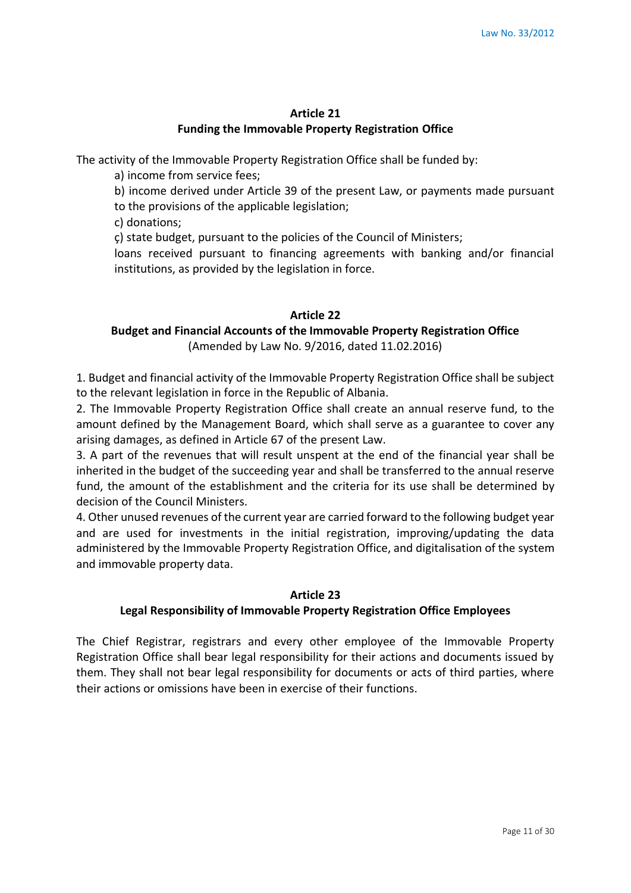#### **Article 21 Funding the Immovable Property Registration Office**

The activity of the Immovable Property Registration Office shall be funded by:

a) income from service fees;

b) income derived under Article 39 of the present Law, or payments made pursuant to the provisions of the applicable legislation;

c) donations;

ç) state budget, pursuant to the policies of the Council of Ministers;

loans received pursuant to financing agreements with banking and/or financial institutions, as provided by the legislation in force.

### **Article 22**

# **Budget and Financial Accounts of the Immovable Property Registration Office**

(Amended by Law No. 9/2016, dated 11.02.2016)

1. Budget and financial activity of the Immovable Property Registration Office shall be subject to the relevant legislation in force in the Republic of Albania.

2. The Immovable Property Registration Office shall create an annual reserve fund, to the amount defined by the Management Board, which shall serve as a guarantee to cover any arising damages, as defined in Article 67 of the present Law.

3. A part of the revenues that will result unspent at the end of the financial year shall be inherited in the budget of the succeeding year and shall be transferred to the annual reserve fund, the amount of the establishment and the criteria for its use shall be determined by decision of the Council Ministers.

4. Other unused revenues of the current year are carried forward to the following budget year and are used for investments in the initial registration, improving/updating the data administered by the Immovable Property Registration Office, and digitalisation of the system and immovable property data.

#### **Article 23**

# **Legal Responsibility of Immovable Property Registration Office Employees**

The Chief Registrar, registrars and every other employee of the Immovable Property Registration Office shall bear legal responsibility for their actions and documents issued by them. They shall not bear legal responsibility for documents or acts of third parties, where their actions or omissions have been in exercise of their functions.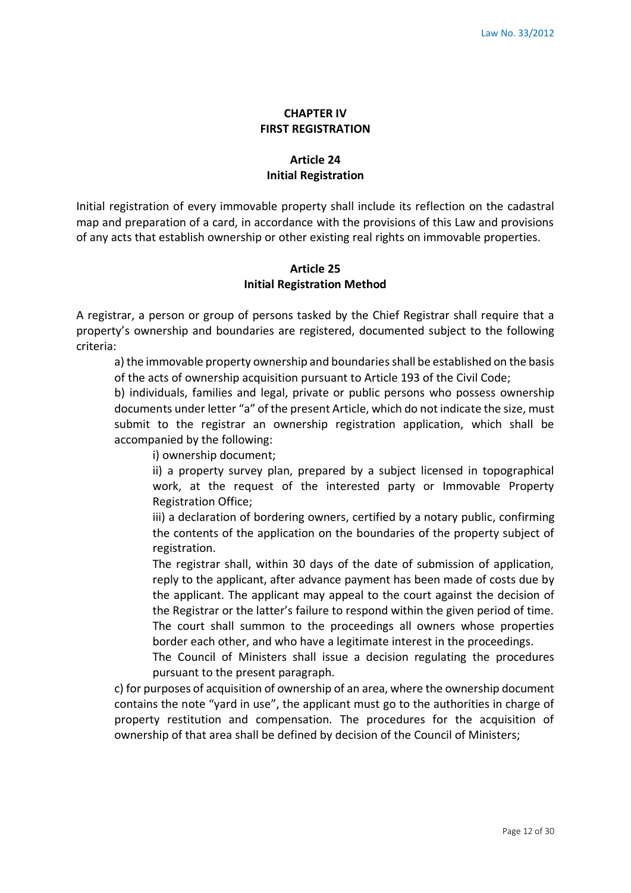### **CHAPTER IV FIRST REGISTRATION**

# **Article 24 Initial Registration**

Initial registration of every immovable property shall include its reflection on the cadastral map and preparation of a card, in accordance with the provisions of this Law and provisions of any acts that establish ownership or other existing real rights on immovable properties.

### **Article 25 Initial Registration Method**

A registrar, a person or group of persons tasked by the Chief Registrar shall require that a property's ownership and boundaries are registered, documented subject to the following criteria:

a) the immovable property ownership and boundaries shall be established on the basis of the acts of ownership acquisition pursuant to Article 193 of the Civil Code;

b) individuals, families and legal, private or public persons who possess ownership documents under letter "a" of the present Article, which do not indicate the size, must submit to the registrar an ownership registration application, which shall be accompanied by the following:

i) ownership document;

ii) a property survey plan, prepared by a subject licensed in topographical work, at the request of the interested party or Immovable Property Registration Office;

iii) a declaration of bordering owners, certified by a notary public, confirming the contents of the application on the boundaries of the property subject of registration.

The registrar shall, within 30 days of the date of submission of application, reply to the applicant, after advance payment has been made of costs due by the applicant. The applicant may appeal to the court against the decision of the Registrar or the latter's failure to respond within the given period of time. The court shall summon to the proceedings all owners whose properties border each other, and who have a legitimate interest in the proceedings.

The Council of Ministers shall issue a decision regulating the procedures pursuant to the present paragraph.

c) for purposes of acquisition of ownership of an area, where the ownership document contains the note "yard in use", the applicant must go to the authorities in charge of property restitution and compensation. The procedures for the acquisition of ownership of that area shall be defined by decision of the Council of Ministers;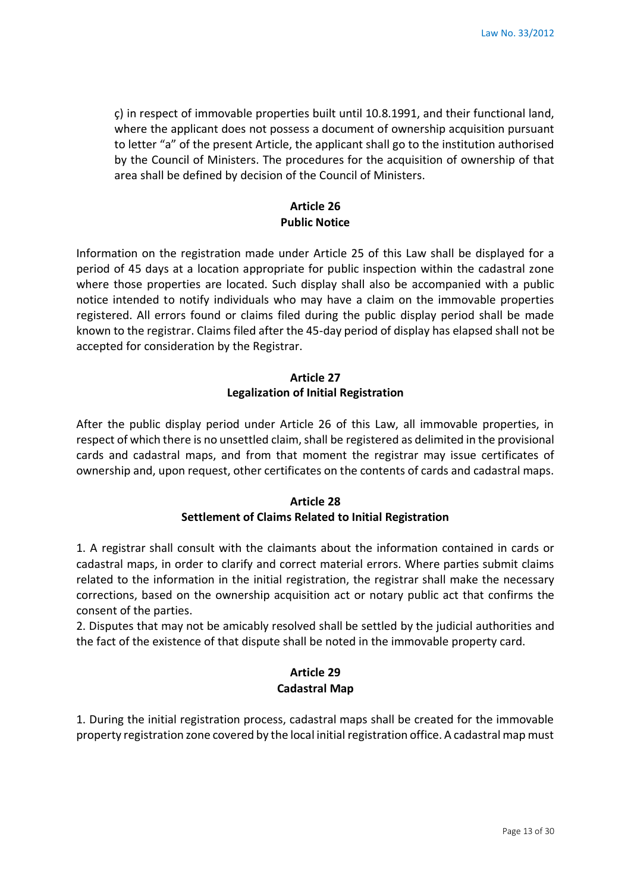ç) in respect of immovable properties built until 10.8.1991, and their functional land, where the applicant does not possess a document of ownership acquisition pursuant to letter "a" of the present Article, the applicant shall go to the institution authorised by the Council of Ministers. The procedures for the acquisition of ownership of that area shall be defined by decision of the Council of Ministers.

# **Article 26 Public Notice**

Information on the registration made under Article 25 of this Law shall be displayed for a period of 45 days at a location appropriate for public inspection within the cadastral zone where those properties are located. Such display shall also be accompanied with a public notice intended to notify individuals who may have a claim on the immovable properties registered. All errors found or claims filed during the public display period shall be made known to the registrar. Claims filed after the 45-day period of display has elapsed shall not be accepted for consideration by the Registrar.

## **Article 27 Legalization of Initial Registration**

After the public display period under Article 26 of this Law, all immovable properties, in respect of which there is no unsettled claim, shall be registered as delimited in the provisional cards and cadastral maps, and from that moment the registrar may issue certificates of ownership and, upon request, other certificates on the contents of cards and cadastral maps.

### **Article 28 Settlement of Claims Related to Initial Registration**

1. A registrar shall consult with the claimants about the information contained in cards or cadastral maps, in order to clarify and correct material errors. Where parties submit claims related to the information in the initial registration, the registrar shall make the necessary corrections, based on the ownership acquisition act or notary public act that confirms the consent of the parties.

2. Disputes that may not be amicably resolved shall be settled by the judicial authorities and the fact of the existence of that dispute shall be noted in the immovable property card.

# **Article 29 Cadastral Map**

1. During the initial registration process, cadastral maps shall be created for the immovable property registration zone covered by the local initial registration office. A cadastral map must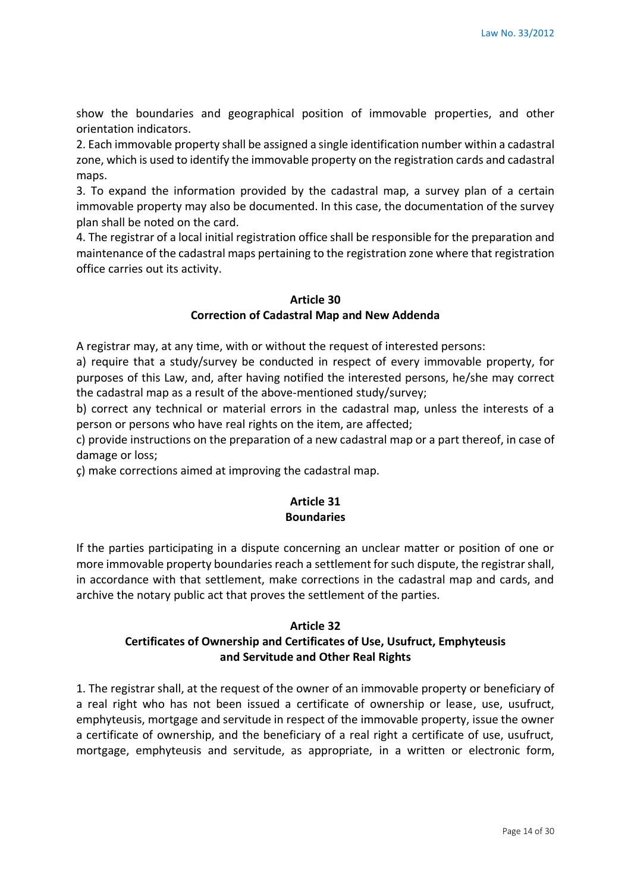show the boundaries and geographical position of immovable properties, and other orientation indicators.

2. Each immovable property shall be assigned a single identification number within a cadastral zone, which is used to identify the immovable property on the registration cards and cadastral maps.

3. To expand the information provided by the cadastral map, a survey plan of a certain immovable property may also be documented. In this case, the documentation of the survey plan shall be noted on the card.

4. The registrar of a local initial registration office shall be responsible for the preparation and maintenance of the cadastral maps pertaining to the registration zone where that registration office carries out its activity.

# **Article 30**

### **Correction of Cadastral Map and New Addenda**

A registrar may, at any time, with or without the request of interested persons:

a) require that a study/survey be conducted in respect of every immovable property, for purposes of this Law, and, after having notified the interested persons, he/she may correct the cadastral map as a result of the above-mentioned study/survey;

b) correct any technical or material errors in the cadastral map, unless the interests of a person or persons who have real rights on the item, are affected;

c) provide instructions on the preparation of a new cadastral map or a part thereof, in case of damage or loss;

ç) make corrections aimed at improving the cadastral map.

# **Article 31 Boundaries**

If the parties participating in a dispute concerning an unclear matter or position of one or more immovable property boundaries reach a settlement for such dispute, the registrar shall, in accordance with that settlement, make corrections in the cadastral map and cards, and archive the notary public act that proves the settlement of the parties.

#### **Article 32**

### **Certificates of Ownership and Certificates of Use, Usufruct, Emphyteusis and Servitude and Other Real Rights**

1. The registrar shall, at the request of the owner of an immovable property or beneficiary of a real right who has not been issued a certificate of ownership or lease, use, usufruct, emphyteusis, mortgage and servitude in respect of the immovable property, issue the owner a certificate of ownership, and the beneficiary of a real right a certificate of use, usufruct, mortgage, emphyteusis and servitude, as appropriate, in a written or electronic form,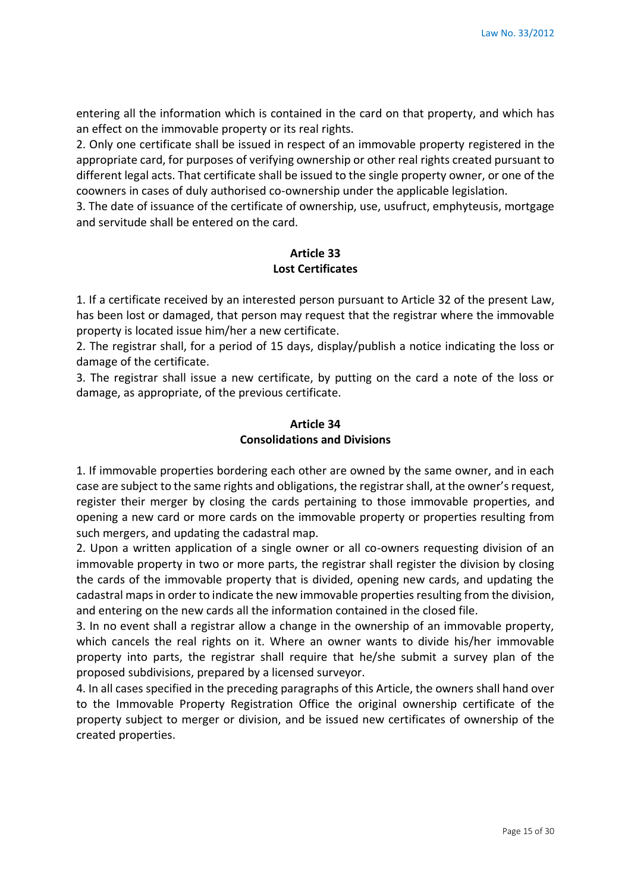entering all the information which is contained in the card on that property, and which has an effect on the immovable property or its real rights.

2. Only one certificate shall be issued in respect of an immovable property registered in the appropriate card, for purposes of verifying ownership or other real rights created pursuant to different legal acts. That certificate shall be issued to the single property owner, or one of the coowners in cases of duly authorised co-ownership under the applicable legislation.

3. The date of issuance of the certificate of ownership, use, usufruct, emphyteusis, mortgage and servitude shall be entered on the card.

#### **Article 33 Lost Certificates**

1. If a certificate received by an interested person pursuant to Article 32 of the present Law, has been lost or damaged, that person may request that the registrar where the immovable property is located issue him/her a new certificate.

2. The registrar shall, for a period of 15 days, display/publish a notice indicating the loss or damage of the certificate.

3. The registrar shall issue a new certificate, by putting on the card a note of the loss or damage, as appropriate, of the previous certificate.

### **Article 34 Consolidations and Divisions**

1. If immovable properties bordering each other are owned by the same owner, and in each case are subject to the same rights and obligations, the registrar shall, at the owner's request, register their merger by closing the cards pertaining to those immovable properties, and opening a new card or more cards on the immovable property or properties resulting from such mergers, and updating the cadastral map.

2. Upon a written application of a single owner or all co-owners requesting division of an immovable property in two or more parts, the registrar shall register the division by closing the cards of the immovable property that is divided, opening new cards, and updating the cadastral maps in order to indicate the new immovable properties resulting from the division, and entering on the new cards all the information contained in the closed file.

3. In no event shall a registrar allow a change in the ownership of an immovable property, which cancels the real rights on it. Where an owner wants to divide his/her immovable property into parts, the registrar shall require that he/she submit a survey plan of the proposed subdivisions, prepared by a licensed surveyor.

4. In all cases specified in the preceding paragraphs of this Article, the owners shall hand over to the Immovable Property Registration Office the original ownership certificate of the property subject to merger or division, and be issued new certificates of ownership of the created properties.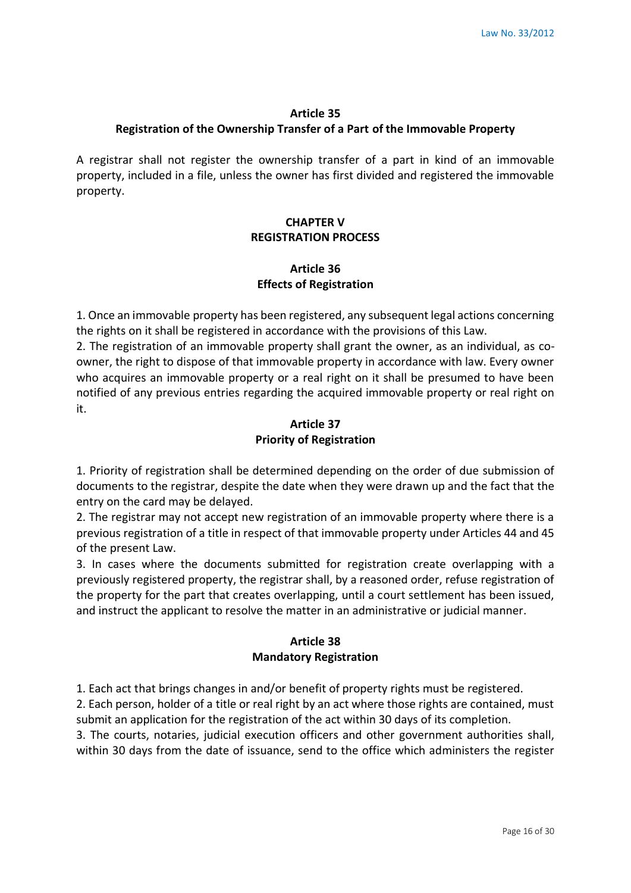#### **Article 35**

#### **Registration of the Ownership Transfer of a Part of the Immovable Property**

A registrar shall not register the ownership transfer of a part in kind of an immovable property, included in a file, unless the owner has first divided and registered the immovable property.

### **CHAPTER V REGISTRATION PROCESS**

### **Article 36 Effects of Registration**

1. Once an immovable property has been registered, any subsequent legal actions concerning the rights on it shall be registered in accordance with the provisions of this Law.

2. The registration of an immovable property shall grant the owner, as an individual, as coowner, the right to dispose of that immovable property in accordance with law. Every owner who acquires an immovable property or a real right on it shall be presumed to have been notified of any previous entries regarding the acquired immovable property or real right on it.

### **Article 37 Priority of Registration**

1. Priority of registration shall be determined depending on the order of due submission of documents to the registrar, despite the date when they were drawn up and the fact that the entry on the card may be delayed.

2. The registrar may not accept new registration of an immovable property where there is a previous registration of a title in respect of that immovable property under Articles 44 and 45 of the present Law.

3. In cases where the documents submitted for registration create overlapping with a previously registered property, the registrar shall, by a reasoned order, refuse registration of the property for the part that creates overlapping, until a court settlement has been issued, and instruct the applicant to resolve the matter in an administrative or judicial manner.

#### **Article 38 Mandatory Registration**

1. Each act that brings changes in and/or benefit of property rights must be registered.

2. Each person, holder of a title or real right by an act where those rights are contained, must submit an application for the registration of the act within 30 days of its completion.

3. The courts, notaries, judicial execution officers and other government authorities shall, within 30 days from the date of issuance, send to the office which administers the register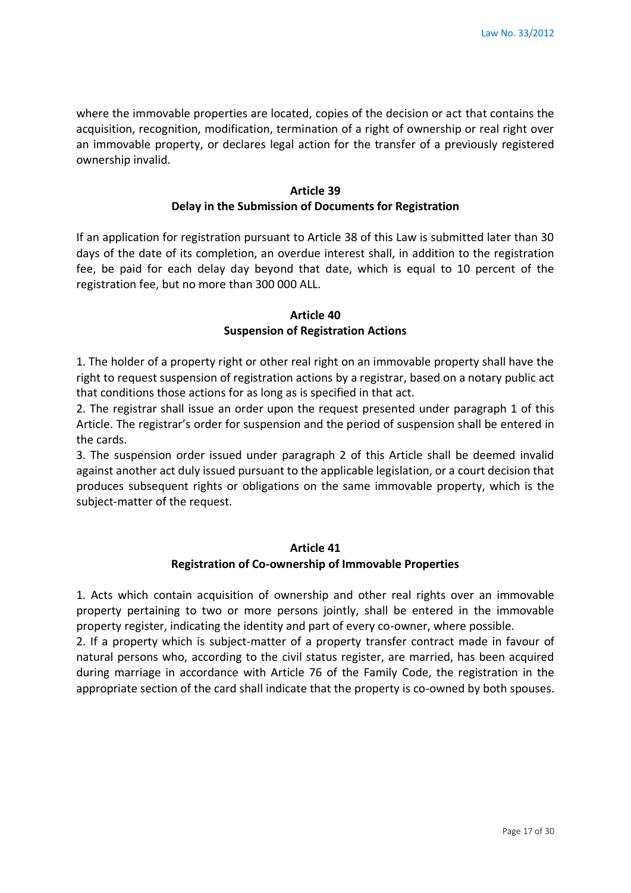where the immovable properties are located, copies of the decision or act that contains the acquisition, recognition, modification, termination of a right of ownership or real right over an immovable property, or declares legal action for the transfer of a previously registered ownership invalid.

### **Article 39 Delay in the Submission of Documents for Registration**

If an application for registration pursuant to Article 38 of this Law is submitted later than 30 days of the date of its completion, an overdue interest shall, in addition to the registration fee, be paid for each delay day beyond that date, which is equal to 10 percent of the registration fee, but no more than 300 000 ALL.

### **Article 40 Suspension of Registration Actions**

1. The holder of a property right or other real right on an immovable property shall have the right to request suspension of registration actions by a registrar, based on a notary public act that conditions those actions for as long as is specified in that act.

2. The registrar shall issue an order upon the request presented under paragraph 1 of this Article. The registrar's order for suspension and the period of suspension shall be entered in the cards.

3. The suspension order issued under paragraph 2 of this Article shall be deemed invalid against another act duly issued pursuant to the applicable legislation, or a court decision that produces subsequent rights or obligations on the same immovable property, which is the subject-matter of the request.

#### **Article 41 Registration of Co-ownership of Immovable Properties**

1. Acts which contain acquisition of ownership and other real rights over an immovable property pertaining to two or more persons jointly, shall be entered in the immovable property register, indicating the identity and part of every co-owner, where possible.

2. If a property which is subject-matter of a property transfer contract made in favour of natural persons who, according to the civil status register, are married, has been acquired during marriage in accordance with Article 76 of the Family Code, the registration in the appropriate section of the card shall indicate that the property is co-owned by both spouses.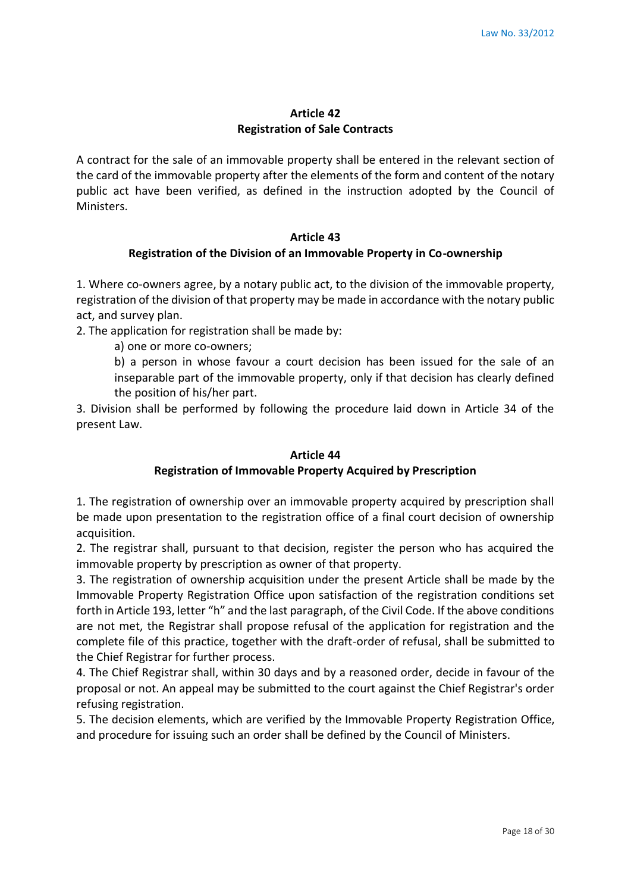#### **Article 42 Registration of Sale Contracts**

A contract for the sale of an immovable property shall be entered in the relevant section of the card of the immovable property after the elements of the form and content of the notary public act have been verified, as defined in the instruction adopted by the Council of Ministers.

#### **Article 43**

#### **Registration of the Division of an Immovable Property in Co-ownership**

1. Where co-owners agree, by a notary public act, to the division of the immovable property, registration of the division of that property may be made in accordance with the notary public act, and survey plan.

2. The application for registration shall be made by:

a) one or more co-owners;

b) a person in whose favour a court decision has been issued for the sale of an inseparable part of the immovable property, only if that decision has clearly defined the position of his/her part.

3. Division shall be performed by following the procedure laid down in Article 34 of the present Law.

#### **Article 44**

#### **Registration of Immovable Property Acquired by Prescription**

1. The registration of ownership over an immovable property acquired by prescription shall be made upon presentation to the registration office of a final court decision of ownership acquisition.

2. The registrar shall, pursuant to that decision, register the person who has acquired the immovable property by prescription as owner of that property.

3. The registration of ownership acquisition under the present Article shall be made by the Immovable Property Registration Office upon satisfaction of the registration conditions set forth in Article 193, letter "h" and the last paragraph, of the Civil Code. If the above conditions are not met, the Registrar shall propose refusal of the application for registration and the complete file of this practice, together with the draft-order of refusal, shall be submitted to the Chief Registrar for further process.

4. The Chief Registrar shall, within 30 days and by a reasoned order, decide in favour of the proposal or not. An appeal may be submitted to the court against the Chief Registrar's order refusing registration.

5. The decision elements, which are verified by the Immovable Property Registration Office, and procedure for issuing such an order shall be defined by the Council of Ministers.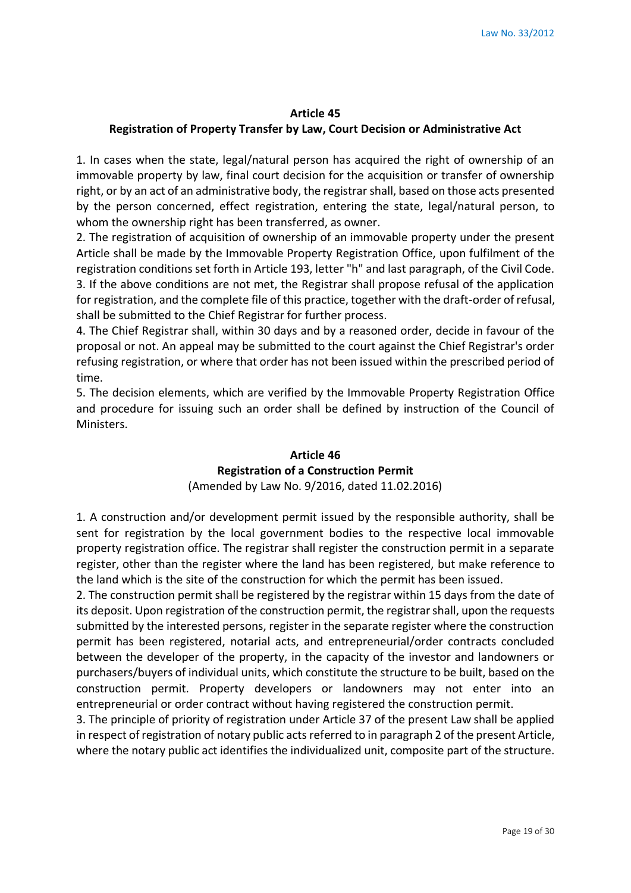#### **Article 45**

#### **Registration of Property Transfer by Law, Court Decision or Administrative Act**

1. In cases when the state, legal/natural person has acquired the right of ownership of an immovable property by law, final court decision for the acquisition or transfer of ownership right, or by an act of an administrative body, the registrar shall, based on those acts presented by the person concerned, effect registration, entering the state, legal/natural person, to whom the ownership right has been transferred, as owner.

2. The registration of acquisition of ownership of an immovable property under the present Article shall be made by the Immovable Property Registration Office, upon fulfilment of the registration conditions set forth in Article 193, letter "h" and last paragraph, of the Civil Code. 3. If the above conditions are not met, the Registrar shall propose refusal of the application for registration, and the complete file of this practice, together with the draft-order of refusal, shall be submitted to the Chief Registrar for further process.

4. The Chief Registrar shall, within 30 days and by a reasoned order, decide in favour of the proposal or not. An appeal may be submitted to the court against the Chief Registrar's order refusing registration, or where that order has not been issued within the prescribed period of time.

5. The decision elements, which are verified by the Immovable Property Registration Office and procedure for issuing such an order shall be defined by instruction of the Council of Ministers.

## **Article 46 Registration of a Construction Permit** (Amended by Law No. 9/2016, dated 11.02.2016)

1. A construction and/or development permit issued by the responsible authority, shall be sent for registration by the local government bodies to the respective local immovable property registration office. The registrar shall register the construction permit in a separate register, other than the register where the land has been registered, but make reference to the land which is the site of the construction for which the permit has been issued.

2. The construction permit shall be registered by the registrar within 15 days from the date of its deposit. Upon registration of the construction permit, the registrar shall, upon the requests submitted by the interested persons, register in the separate register where the construction permit has been registered, notarial acts, and entrepreneurial/order contracts concluded between the developer of the property, in the capacity of the investor and landowners or purchasers/buyers of individual units, which constitute the structure to be built, based on the construction permit. Property developers or landowners may not enter into an entrepreneurial or order contract without having registered the construction permit.

3. The principle of priority of registration under Article 37 of the present Law shall be applied in respect of registration of notary public acts referred to in paragraph 2 of the present Article, where the notary public act identifies the individualized unit, composite part of the structure.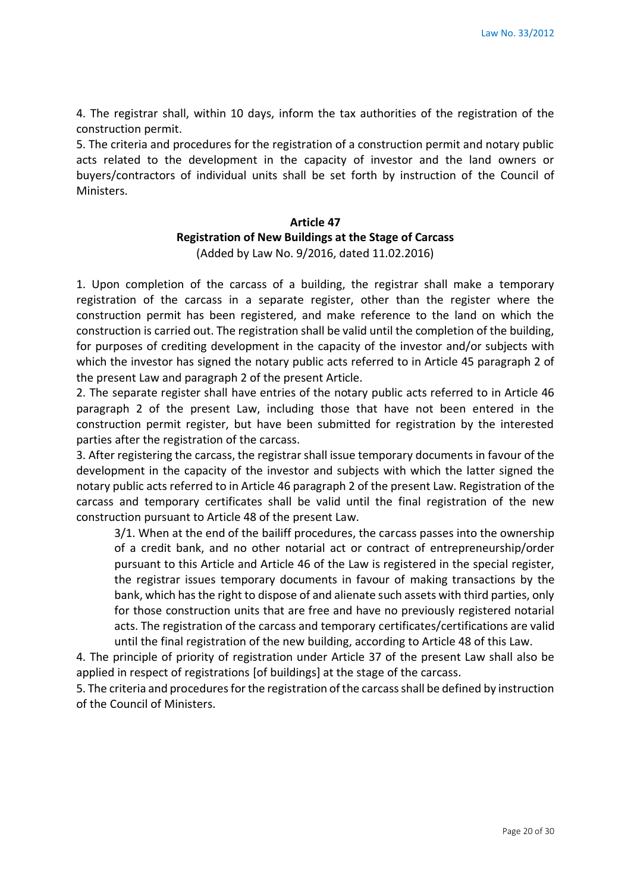4. The registrar shall, within 10 days, inform the tax authorities of the registration of the construction permit.

5. The criteria and procedures for the registration of a construction permit and notary public acts related to the development in the capacity of investor and the land owners or buyers/contractors of individual units shall be set forth by instruction of the Council of Ministers.

### **Article 47 Registration of New Buildings at the Stage of Carcass** (Added by Law No. 9/2016, dated 11.02.2016)

1. Upon completion of the carcass of a building, the registrar shall make a temporary registration of the carcass in a separate register, other than the register where the construction permit has been registered, and make reference to the land on which the construction is carried out. The registration shall be valid until the completion of the building, for purposes of crediting development in the capacity of the investor and/or subjects with which the investor has signed the notary public acts referred to in Article 45 paragraph 2 of the present Law and paragraph 2 of the present Article.

2. The separate register shall have entries of the notary public acts referred to in Article 46 paragraph 2 of the present Law, including those that have not been entered in the construction permit register, but have been submitted for registration by the interested parties after the registration of the carcass.

3. After registering the carcass, the registrar shall issue temporary documents in favour of the development in the capacity of the investor and subjects with which the latter signed the notary public acts referred to in Article 46 paragraph 2 of the present Law. Registration of the carcass and temporary certificates shall be valid until the final registration of the new construction pursuant to Article 48 of the present Law.

3/1. When at the end of the bailiff procedures, the carcass passes into the ownership of a credit bank, and no other notarial act or contract of entrepreneurship/order pursuant to this Article and Article 46 of the Law is registered in the special register, the registrar issues temporary documents in favour of making transactions by the bank, which has the right to dispose of and alienate such assets with third parties, only for those construction units that are free and have no previously registered notarial acts. The registration of the carcass and temporary certificates/certifications are valid until the final registration of the new building, according to Article 48 of this Law.

4. The principle of priority of registration under Article 37 of the present Law shall also be applied in respect of registrations [of buildings] at the stage of the carcass.

5. The criteria and procedures for the registration of the carcass shall be defined by instruction of the Council of Ministers.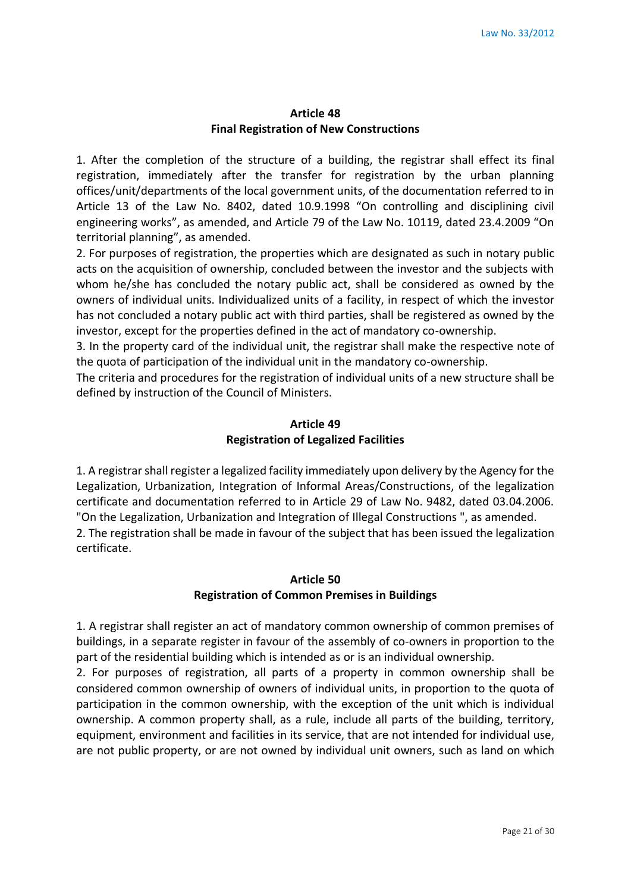#### **Article 48 Final Registration of New Constructions**

1. After the completion of the structure of a building, the registrar shall effect its final registration, immediately after the transfer for registration by the urban planning offices/unit/departments of the local government units, of the documentation referred to in Article 13 of the Law No. 8402, dated 10.9.1998 "On controlling and disciplining civil engineering works", as amended, and Article 79 of the Law No. 10119, dated 23.4.2009 "On territorial planning", as amended.

2. For purposes of registration, the properties which are designated as such in notary public acts on the acquisition of ownership, concluded between the investor and the subjects with whom he/she has concluded the notary public act, shall be considered as owned by the owners of individual units. Individualized units of a facility, in respect of which the investor has not concluded a notary public act with third parties, shall be registered as owned by the investor, except for the properties defined in the act of mandatory co-ownership.

3. In the property card of the individual unit, the registrar shall make the respective note of the quota of participation of the individual unit in the mandatory co-ownership.

The criteria and procedures for the registration of individual units of a new structure shall be defined by instruction of the Council of Ministers.

# **Article 49 Registration of Legalized Facilities**

1. A registrar shall register a legalized facility immediately upon delivery by the Agency for the Legalization, Urbanization, Integration of Informal Areas/Constructions, of the legalization certificate and documentation referred to in Article 29 of Law No. 9482, dated 03.04.2006. "On the Legalization, Urbanization and Integration of Illegal Constructions ", as amended. 2. The registration shall be made in favour of the subject that has been issued the legalization certificate.

### **Article 50 Registration of Common Premises in Buildings**

1. A registrar shall register an act of mandatory common ownership of common premises of buildings, in a separate register in favour of the assembly of co-owners in proportion to the part of the residential building which is intended as or is an individual ownership.

2. For purposes of registration, all parts of a property in common ownership shall be considered common ownership of owners of individual units, in proportion to the quota of participation in the common ownership, with the exception of the unit which is individual ownership. A common property shall, as a rule, include all parts of the building, territory, equipment, environment and facilities in its service, that are not intended for individual use, are not public property, or are not owned by individual unit owners, such as land on which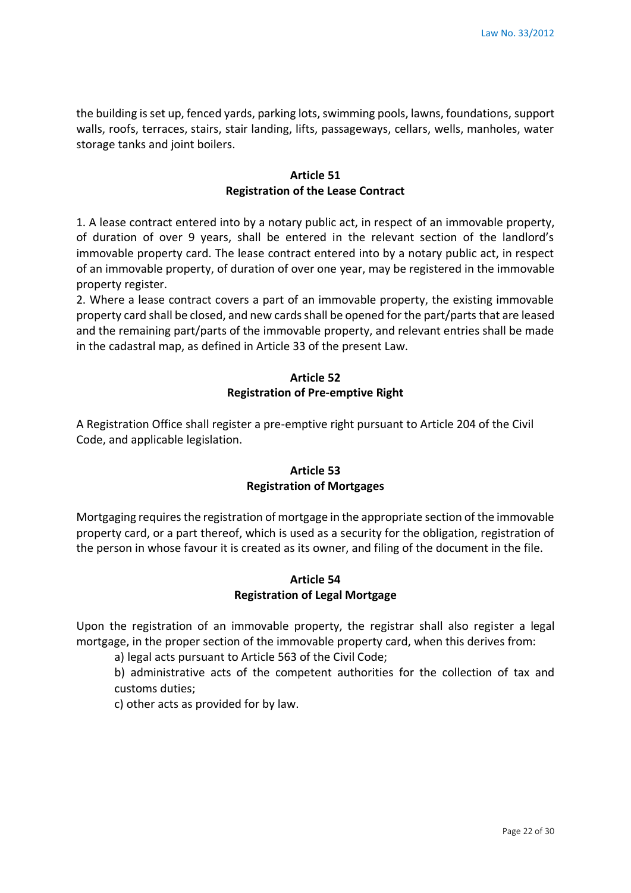the building is set up, fenced yards, parking lots, swimming pools, lawns, foundations, support walls, roofs, terraces, stairs, stair landing, lifts, passageways, cellars, wells, manholes, water storage tanks and joint boilers.

#### **Article 51 Registration of the Lease Contract**

1. A lease contract entered into by a notary public act, in respect of an immovable property, of duration of over 9 years, shall be entered in the relevant section of the landlord's immovable property card. The lease contract entered into by a notary public act, in respect of an immovable property, of duration of over one year, may be registered in the immovable property register.

2. Where a lease contract covers a part of an immovable property, the existing immovable property card shall be closed, and new cards shall be opened for the part/parts that are leased and the remaining part/parts of the immovable property, and relevant entries shall be made in the cadastral map, as defined in Article 33 of the present Law.

### **Article 52 Registration of Pre-emptive Right**

A Registration Office shall register a pre-emptive right pursuant to Article 204 of the Civil Code, and applicable legislation.

# **Article 53 Registration of Mortgages**

Mortgaging requires the registration of mortgage in the appropriate section of the immovable property card, or a part thereof, which is used as a security for the obligation, registration of the person in whose favour it is created as its owner, and filing of the document in the file.

# **Article 54 Registration of Legal Mortgage**

Upon the registration of an immovable property, the registrar shall also register a legal mortgage, in the proper section of the immovable property card, when this derives from:

a) legal acts pursuant to Article 563 of the Civil Code;

b) administrative acts of the competent authorities for the collection of tax and customs duties;

c) other acts as provided for by law.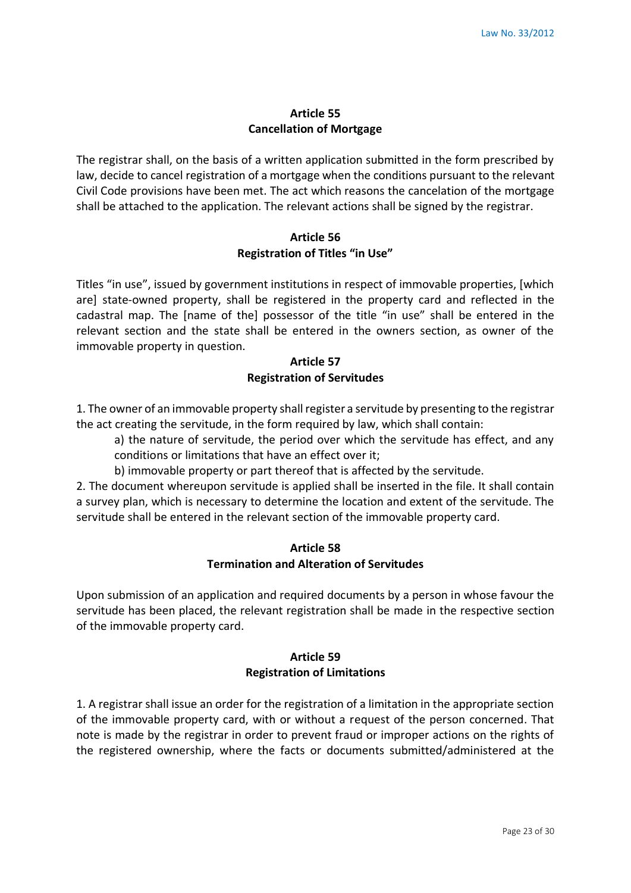#### **Article 55 Cancellation of Mortgage**

The registrar shall, on the basis of a written application submitted in the form prescribed by law, decide to cancel registration of a mortgage when the conditions pursuant to the relevant Civil Code provisions have been met. The act which reasons the cancelation of the mortgage shall be attached to the application. The relevant actions shall be signed by the registrar.

### **Article 56 Registration of Titles "in Use"**

Titles "in use", issued by government institutions in respect of immovable properties, [which are] state-owned property, shall be registered in the property card and reflected in the cadastral map. The [name of the] possessor of the title "in use" shall be entered in the relevant section and the state shall be entered in the owners section, as owner of the immovable property in question.

#### **Article 57 Registration of Servitudes**

1. The owner of an immovable property shall register a servitude by presenting to the registrar the act creating the servitude, in the form required by law, which shall contain:

a) the nature of servitude, the period over which the servitude has effect, and any conditions or limitations that have an effect over it;

b) immovable property or part thereof that is affected by the servitude.

2. The document whereupon servitude is applied shall be inserted in the file. It shall contain a survey plan, which is necessary to determine the location and extent of the servitude. The servitude shall be entered in the relevant section of the immovable property card.

#### **Article 58 Termination and Alteration of Servitudes**

Upon submission of an application and required documents by a person in whose favour the servitude has been placed, the relevant registration shall be made in the respective section of the immovable property card.

### **Article 59 Registration of Limitations**

1. A registrar shall issue an order for the registration of a limitation in the appropriate section of the immovable property card, with or without a request of the person concerned. That note is made by the registrar in order to prevent fraud or improper actions on the rights of the registered ownership, where the facts or documents submitted/administered at the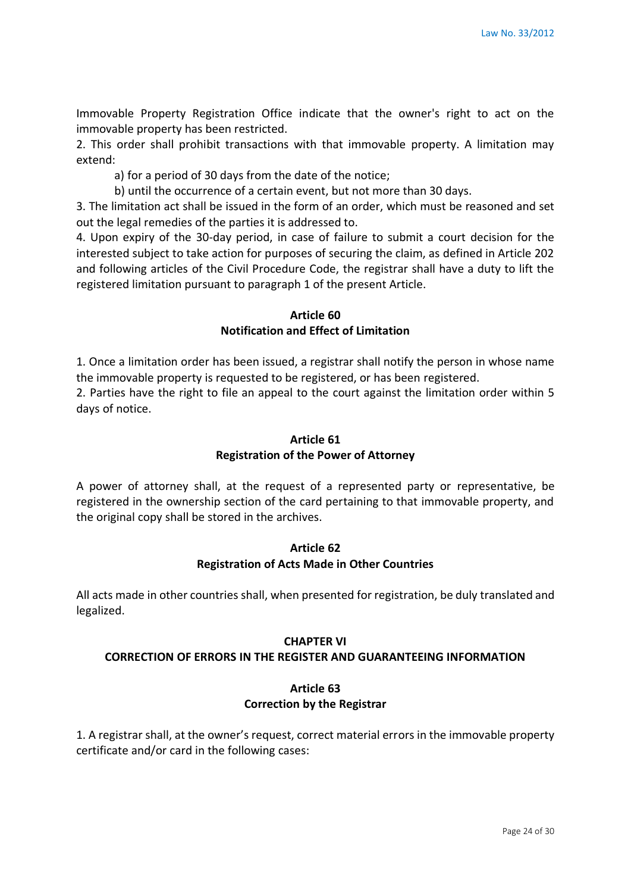Immovable Property Registration Office indicate that the owner's right to act on the immovable property has been restricted.

2. This order shall prohibit transactions with that immovable property. A limitation may extend:

a) for a period of 30 days from the date of the notice;

b) until the occurrence of a certain event, but not more than 30 days.

3. The limitation act shall be issued in the form of an order, which must be reasoned and set out the legal remedies of the parties it is addressed to.

4. Upon expiry of the 30-day period, in case of failure to submit a court decision for the interested subject to take action for purposes of securing the claim, as defined in Article 202 and following articles of the Civil Procedure Code, the registrar shall have a duty to lift the registered limitation pursuant to paragraph 1 of the present Article.

#### **Article 60 Notification and Effect of Limitation**

1. Once a limitation order has been issued, a registrar shall notify the person in whose name the immovable property is requested to be registered, or has been registered.

2. Parties have the right to file an appeal to the court against the limitation order within 5 days of notice.

### **Article 61 Registration of the Power of Attorney**

A power of attorney shall, at the request of a represented party or representative, be registered in the ownership section of the card pertaining to that immovable property, and the original copy shall be stored in the archives.

#### **Article 62 Registration of Acts Made in Other Countries**

All acts made in other countries shall, when presented for registration, be duly translated and legalized.

#### **CHAPTER VI**

#### **CORRECTION OF ERRORS IN THE REGISTER AND GUARANTEEING INFORMATION**

### **Article 63 Correction by the Registrar**

1. A registrar shall, at the owner's request, correct material errors in the immovable property certificate and/or card in the following cases: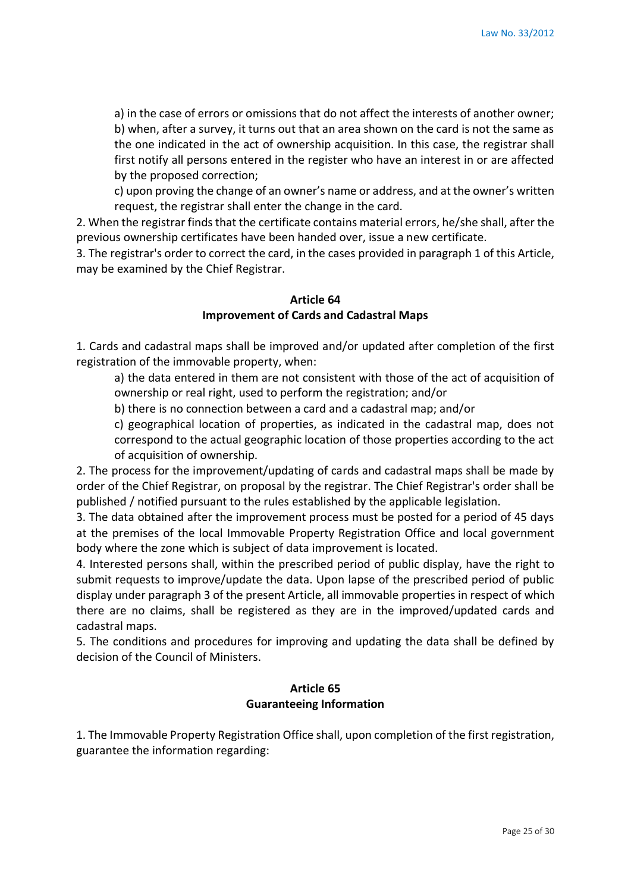a) in the case of errors or omissions that do not affect the interests of another owner; b) when, after a survey, it turns out that an area shown on the card is not the same as the one indicated in the act of ownership acquisition. In this case, the registrar shall first notify all persons entered in the register who have an interest in or are affected by the proposed correction;

c) upon proving the change of an owner's name or address, and at the owner's written request, the registrar shall enter the change in the card.

2. When the registrar finds that the certificate contains material errors, he/she shall, after the previous ownership certificates have been handed over, issue a new certificate.

3. The registrar's order to correct the card, in the cases provided in paragraph 1 of this Article, may be examined by the Chief Registrar.

### **Article 64 Improvement of Cards and Cadastral Maps**

1. Cards and cadastral maps shall be improved and/or updated after completion of the first registration of the immovable property, when:

a) the data entered in them are not consistent with those of the act of acquisition of ownership or real right, used to perform the registration; and/or

b) there is no connection between a card and a cadastral map; and/or

c) geographical location of properties, as indicated in the cadastral map, does not correspond to the actual geographic location of those properties according to the act of acquisition of ownership.

2. The process for the improvement/updating of cards and cadastral maps shall be made by order of the Chief Registrar, on proposal by the registrar. The Chief Registrar's order shall be published / notified pursuant to the rules established by the applicable legislation.

3. The data obtained after the improvement process must be posted for a period of 45 days at the premises of the local Immovable Property Registration Office and local government body where the zone which is subject of data improvement is located.

4. Interested persons shall, within the prescribed period of public display, have the right to submit requests to improve/update the data. Upon lapse of the prescribed period of public display under paragraph 3 of the present Article, all immovable properties in respect of which there are no claims, shall be registered as they are in the improved/updated cards and cadastral maps.

5. The conditions and procedures for improving and updating the data shall be defined by decision of the Council of Ministers.

# **Article 65 Guaranteeing Information**

1. The Immovable Property Registration Office shall, upon completion of the first registration, guarantee the information regarding: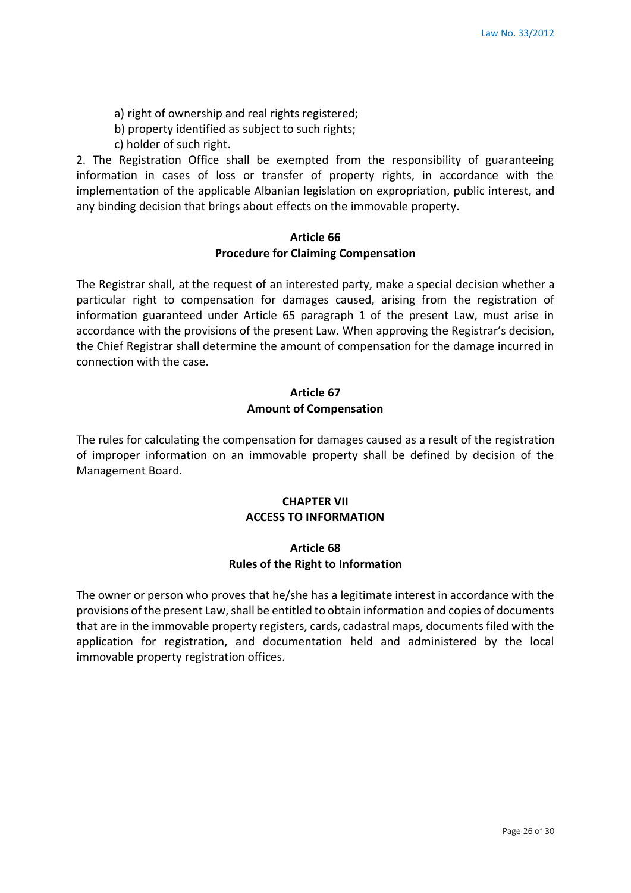- a) right of ownership and real rights registered;
- b) property identified as subject to such rights;
- c) holder of such right.

2. The Registration Office shall be exempted from the responsibility of guaranteeing information in cases of loss or transfer of property rights, in accordance with the implementation of the applicable Albanian legislation on expropriation, public interest, and any binding decision that brings about effects on the immovable property.

#### **Article 66 Procedure for Claiming Compensation**

The Registrar shall, at the request of an interested party, make a special decision whether a particular right to compensation for damages caused, arising from the registration of information guaranteed under Article 65 paragraph 1 of the present Law, must arise in accordance with the provisions of the present Law. When approving the Registrar's decision, the Chief Registrar shall determine the amount of compensation for the damage incurred in connection with the case.

# **Article 67 Amount of Compensation**

The rules for calculating the compensation for damages caused as a result of the registration of improper information on an immovable property shall be defined by decision of the Management Board.

### **CHAPTER VII ACCESS TO INFORMATION**

#### **Article 68 Rules of the Right to Information**

The owner or person who proves that he/she has a legitimate interest in accordance with the provisions of the present Law, shall be entitled to obtain information and copies of documents that are in the immovable property registers, cards, cadastral maps, documents filed with the application for registration, and documentation held and administered by the local immovable property registration offices.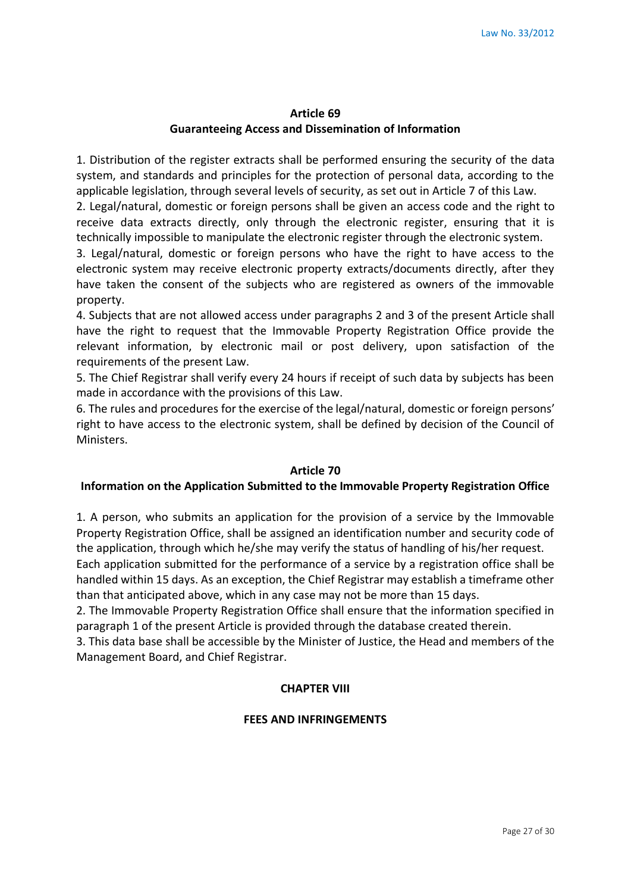#### **Article 69 Guaranteeing Access and Dissemination of Information**

1. Distribution of the register extracts shall be performed ensuring the security of the data system, and standards and principles for the protection of personal data, according to the applicable legislation, through several levels of security, as set out in Article 7 of this Law.

2. Legal/natural, domestic or foreign persons shall be given an access code and the right to receive data extracts directly, only through the electronic register, ensuring that it is technically impossible to manipulate the electronic register through the electronic system.

3. Legal/natural, domestic or foreign persons who have the right to have access to the electronic system may receive electronic property extracts/documents directly, after they have taken the consent of the subjects who are registered as owners of the immovable property.

4. Subjects that are not allowed access under paragraphs 2 and 3 of the present Article shall have the right to request that the Immovable Property Registration Office provide the relevant information, by electronic mail or post delivery, upon satisfaction of the requirements of the present Law.

5. The Chief Registrar shall verify every 24 hours if receipt of such data by subjects has been made in accordance with the provisions of this Law.

6. The rules and procedures for the exercise of the legal/natural, domestic or foreign persons' right to have access to the electronic system, shall be defined by decision of the Council of Ministers.

#### **Article 70**

#### **Information on the Application Submitted to the Immovable Property Registration Office**

1. A person, who submits an application for the provision of a service by the Immovable Property Registration Office, shall be assigned an identification number and security code of the application, through which he/she may verify the status of handling of his/her request. Each application submitted for the performance of a service by a registration office shall be

handled within 15 days. As an exception, the Chief Registrar may establish a timeframe other than that anticipated above, which in any case may not be more than 15 days.

2. The Immovable Property Registration Office shall ensure that the information specified in paragraph 1 of the present Article is provided through the database created therein.

3. This data base shall be accessible by the Minister of Justice, the Head and members of the Management Board, and Chief Registrar.

#### **CHAPTER VIII**

#### **FEES AND INFRINGEMENTS**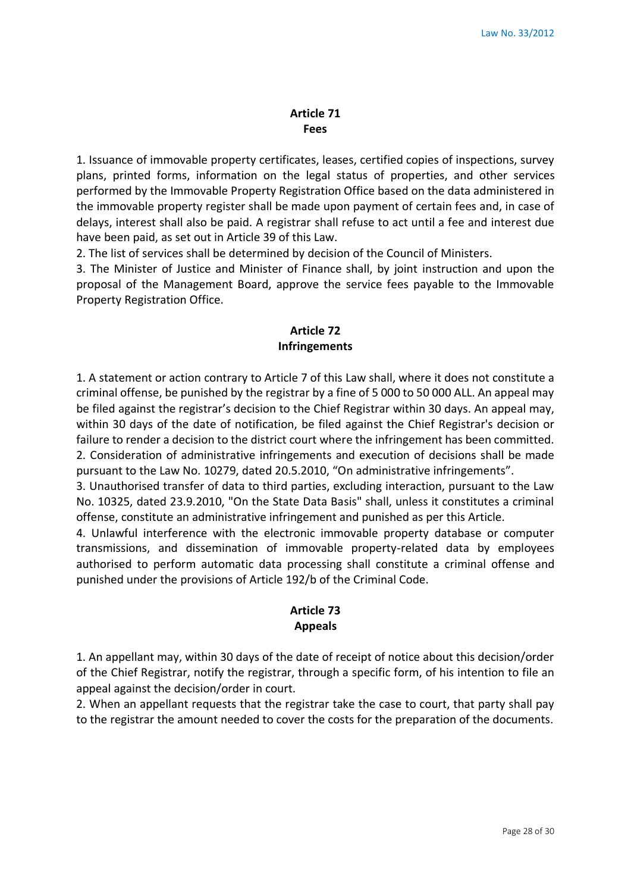#### **Article 71 Fees**

1. Issuance of immovable property certificates, leases, certified copies of inspections, survey plans, printed forms, information on the legal status of properties, and other services performed by the Immovable Property Registration Office based on the data administered in the immovable property register shall be made upon payment of certain fees and, in case of delays, interest shall also be paid. A registrar shall refuse to act until a fee and interest due have been paid, as set out in Article 39 of this Law.

2. The list of services shall be determined by decision of the Council of Ministers.

3. The Minister of Justice and Minister of Finance shall, by joint instruction and upon the proposal of the Management Board, approve the service fees payable to the Immovable Property Registration Office.

## **Article 72 Infringements**

1. A statement or action contrary to Article 7 of this Law shall, where it does not constitute a criminal offense, be punished by the registrar by a fine of 5 000 to 50 000 ALL. An appeal may be filed against the registrar's decision to the Chief Registrar within 30 days. An appeal may, within 30 days of the date of notification, be filed against the Chief Registrar's decision or failure to render a decision to the district court where the infringement has been committed. 2. Consideration of administrative infringements and execution of decisions shall be made pursuant to the Law No. 10279, dated 20.5.2010, "On administrative infringements".

3. Unauthorised transfer of data to third parties, excluding interaction, pursuant to the Law No. 10325, dated 23.9.2010, "On the State Data Basis" shall, unless it constitutes a criminal offense, constitute an administrative infringement and punished as per this Article.

4. Unlawful interference with the electronic immovable property database or computer transmissions, and dissemination of immovable property-related data by employees authorised to perform automatic data processing shall constitute a criminal offense and punished under the provisions of Article 192/b of the Criminal Code.

#### **Article 73 Appeals**

1. An appellant may, within 30 days of the date of receipt of notice about this decision/order of the Chief Registrar, notify the registrar, through a specific form, of his intention to file an appeal against the decision/order in court.

2. When an appellant requests that the registrar take the case to court, that party shall pay to the registrar the amount needed to cover the costs for the preparation of the documents.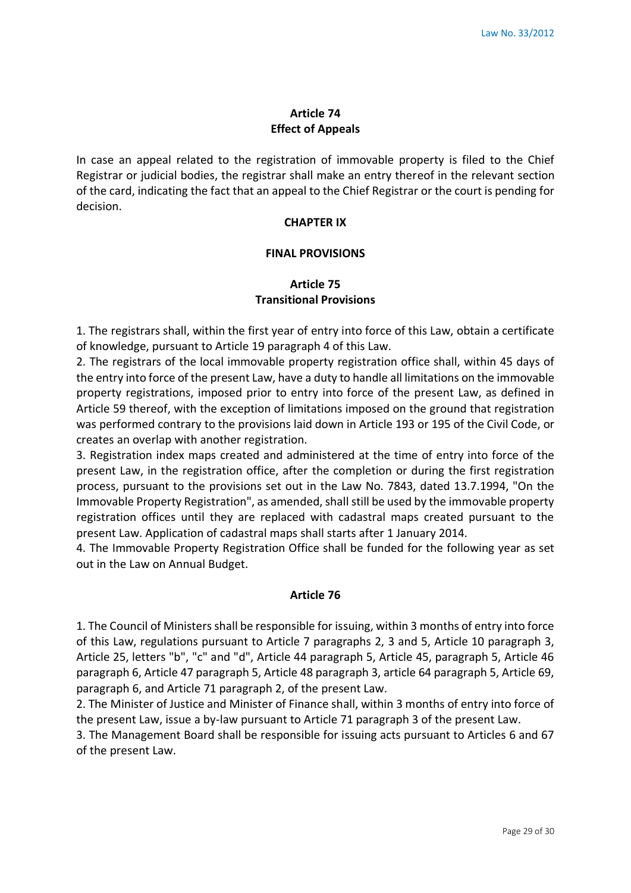### **Article 74 Effect of Appeals**

In case an appeal related to the registration of immovable property is filed to the Chief Registrar or judicial bodies, the registrar shall make an entry thereof in the relevant section of the card, indicating the fact that an appeal to the Chief Registrar or the court is pending for decision.

#### **CHAPTER IX**

#### **FINAL PROVISIONS**

## **Article 75 Transitional Provisions**

1. The registrars shall, within the first year of entry into force of this Law, obtain a certificate of knowledge, pursuant to Article 19 paragraph 4 of this Law.

2. The registrars of the local immovable property registration office shall, within 45 days of the entry into force of the present Law, have a duty to handle all limitations on the immovable property registrations, imposed prior to entry into force of the present Law, as defined in Article 59 thereof, with the exception of limitations imposed on the ground that registration was performed contrary to the provisions laid down in Article 193 or 195 of the Civil Code, or creates an overlap with another registration.

3. Registration index maps created and administered at the time of entry into force of the present Law, in the registration office, after the completion or during the first registration process, pursuant to the provisions set out in the Law No. 7843, dated 13.7.1994, "On the Immovable Property Registration", as amended, shall still be used by the immovable property registration offices until they are replaced with cadastral maps created pursuant to the present Law. Application of cadastral maps shall starts after 1 January 2014.

4. The Immovable Property Registration Office shall be funded for the following year as set out in the Law on Annual Budget.

#### **Article 76**

1. The Council of Ministers shall be responsible for issuing, within 3 months of entry into force of this Law, regulations pursuant to Article 7 paragraphs 2, 3 and 5, Article 10 paragraph 3, Article 25, letters "b", "c" and "d", Article 44 paragraph 5, Article 45, paragraph 5, Article 46 paragraph 6, Article 47 paragraph 5, Article 48 paragraph 3, article 64 paragraph 5, Article 69, paragraph 6, and Article 71 paragraph 2, of the present Law.

2. The Minister of Justice and Minister of Finance shall, within 3 months of entry into force of the present Law, issue a by-law pursuant to Article 71 paragraph 3 of the present Law.

3. The Management Board shall be responsible for issuing acts pursuant to Articles 6 and 67 of the present Law.